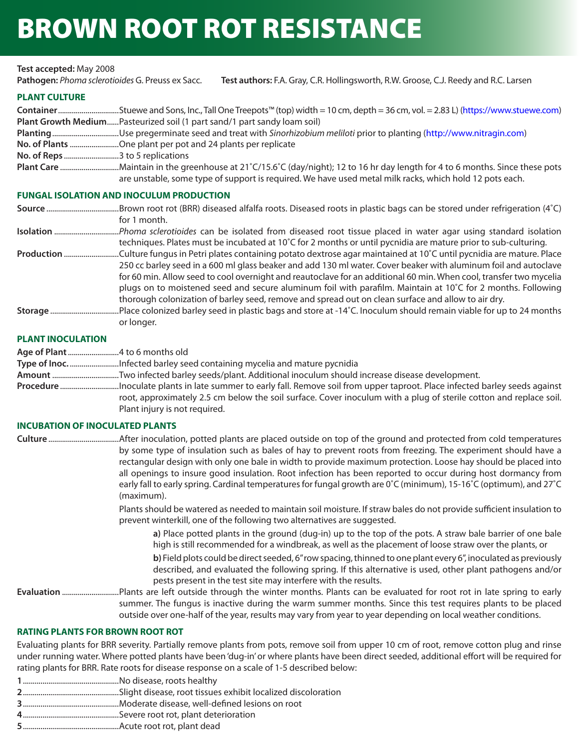# BROWN ROOT ROT RESISTANCE

#### **Test accepted:** May 2008

**Pathogen:** *Phoma sclerotioides* G. Preuss ex Sacc. **Test authors:** F.A. Gray, C.R. Hollingsworth, R.W. Groose, C.J. Reedy and R.C. Larsen

#### **PLANT CULTURE**

| ContainerStuewe and Sons, Inc., Tall One Treepots™ (top) width = 10 cm, depth = 36 cm, vol. = 2.83 L) (https://www.stuewe.com) |
|--------------------------------------------------------------------------------------------------------------------------------|
| Plant Growth MediumPasteurized soil (1 part sand/1 part sandy loam soil)                                                       |
|                                                                                                                                |
| No. of Plants One plant per pot and 24 plants per replicate                                                                    |
|                                                                                                                                |
| Plant Care Maintain in the greenhouse at 21°C/15.6°C (day/night); 12 to 16 hr day length for 4 to 6 months. Since these pots   |
| are unstable, some type of support is required. We have used metal milk racks, which hold 12 pots each.                        |

#### **FUNGAL ISOLATION AND INOCULUM PRODUCTION**

| for 1 month. |
|--------------|

**Isolation** .................................*Phoma sclerotioides* can be isolated from diseased root tissue placed in water agar using standard isolation techniques. Plates must be incubated at 10˚C for 2 months or until pycnidia are mature prior to sub-culturing.

- **Production** ............................Culture fungus in Petri plates containing potato dextrose agar maintained at 10˚C until pycnidia are mature. Place 250 cc barley seed in a 600 ml glass beaker and add 130 ml water. Cover beaker with aluminum foil and autoclave for 60 min. Allow seed to cool overnight and reautoclave for an additional 60 min. When cool, transfer two mycelia plugs on to moistened seed and secure aluminum foil with parafilm. Maintain at 10˚C for 2 months. Following thorough colonization of barley seed, remove and spread out on clean surface and allow to air dry.
- **Storage** ...................................Place colonized barley seed in plastic bags and store at -14˚C. Inoculum should remain viable for up to 24 months or longer.

#### **PLANT INOCULATION**

- **Age of Plant** ..........................4 to 6 months old
- **Type of Inoc.** .........................Infected barley seed containing mycelia and mature pycnidia
- **Amount** ..................................Two infected barley seeds/plant. Additional inoculum should increase disease development.
- **Procedure** ..............................Inoculate plants in late summer to early fall. Remove soil from upper taproot. Place infected barley seeds against root, approximately 2.5 cm below the soil surface. Cover inoculum with a plug of sterile cotton and replace soil. Plant injury is not required.

#### **INCUBATION OF INOCULATED PLANTS**

**Culture** ....................................After inoculation, potted plants are placed outside on top of the ground and protected from cold temperatures by some type of insulation such as bales of hay to prevent roots from freezing. The experiment should have a rectangular design with only one bale in width to provide maximum protection. Loose hay should be placed into all openings to insure good insulation. Root infection has been reported to occur during host dormancy from early fall to early spring. Cardinal temperatures for fungal growth are 0˚C (minimum), 15-16˚C (optimum), and 27˚C (maximum).

> Plants should be watered as needed to maintain soil moisture. If straw bales do not provide sufficient insulation to prevent winterkill, one of the following two alternatives are suggested.

**a)** Place potted plants in the ground (dug-in) up to the top of the pots. A straw bale barrier of one bale high is still recommended for a windbreak, as well as the placement of loose straw over the plants, or **b)** Field plots could be direct seeded, 6" row spacing, thinned to one plant every 6", inoculated as previously described, and evaluated the following spring. If this alternative is used, other plant pathogens and/or pests present in the test site may interfere with the results.

**Evaluation** .............................Plants are left outside through the winter months. Plants can be evaluated for root rot in late spring to early summer. The fungus is inactive during the warm summer months. Since this test requires plants to be placed outside over one-half of the year, results may vary from year to year depending on local weather conditions.

### **RATING PLANTS FOR BROWN ROOT ROT**

Evaluating plants for BRR severity. Partially remove plants from pots, remove soil from upper 10 cm of root, remove cotton plug and rinse under running water. Where potted plants have been 'dug-in' or where plants have been direct seeded, additional effort will be required for rating plants for BRR. Rate roots for disease response on a scale of 1-5 described below:

- **1** .................................................No disease, roots healthy
- **2** .................................................Slight disease, root tissues exhibit localized discoloration
- **3** .................................................Moderate disease, well-defined lesions on root
- **4** .................................................Severe root rot, plant deterioration
- **5** .................................................Acute root rot, plant dead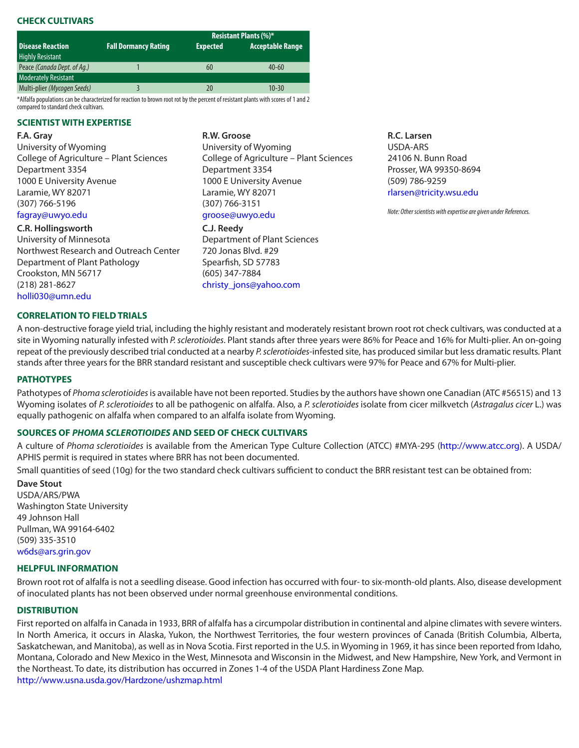## **CHECK CULTIVARS**

|                             |                             | <b>Resistant Plants (%)*</b> |                  |
|-----------------------------|-----------------------------|------------------------------|------------------|
| <b>Disease Reaction</b>     | <b>Fall Dormancy Rating</b> | <b>Expected</b>              | Acceptable Range |
| <b>Highly Resistant</b>     |                             |                              |                  |
| Peace (Canada Dept. of Aq.) |                             | 60                           | $40 - 60$        |
| <b>Moderately Resistant</b> |                             |                              |                  |
| Multi-plier (Mycogen Seeds) |                             | 20                           | $10-30$          |
|                             |                             |                              |                  |

\*Alfalfa populations can be characterized for reaction to brown root rot by the percent of resistant plants with scores of 1 and 2 compared to standard check cultivars.

#### **SCIENTIST WITH EXPERTISE**

#### **F.A. Gray**

University of Wyoming College of Agriculture – Plant Sciences Department 3354 1000 E University Avenue Laramie, WY 82071 (307) 766-5196 [fagray@uwyo.edu](mailto:fagray%40uwyo.edu?subject=)

## **C.R. Hollingsworth**

University of Minnesota Northwest Research and Outreach Center Department of Plant Pathology Crookston, MN 56717 (218) 281-8627 [holli030@umn.edu](mailto:holli030%40umn.edu?subject=)

#### **CORRELATION TO FIELD TRIALS**

#### **R.W. Groose**

University of Wyoming College of Agriculture – Plant Sciences Department 3354 1000 E University Avenue Laramie, WY 82071 (307) 766-3151 [groose@uwyo.edu](mailto:groose%40uwyo.edu?subject=)

#### **C.J. Reedy**

Department of Plant Sciences 720 Jonas Blvd. #29 Spearfish, SD 57783 (605) 347-7884 [christy\\_jons@yahoo.com](mailto:christy_jons%40yahoo.com?subject=)

#### **R.C. Larsen** USDA-ARS 24106 N. Bunn Road Prosser, WA 99350-8694 (509) 786-9259 [rlarsen@tricity.wsu.edu](mailto:rlarsen%40tricity.wsu.edu?subject=)

*Note: Other scientists with expertise are given under References.*

A non-destructive forage yield trial, including the highly resistant and moderately resistant brown root rot check cultivars, was conducted at a site in Wyoming naturally infested with *P. sclerotioides*. Plant stands after three years were 86% for Peace and 16% for Multi-plier. An on-going repeat of the previously described trial conducted at a nearby *P. sclerotioides*-infested site, has produced similar but less dramatic results. Plant stands after three years for the BRR standard resistant and susceptible check cultivars were 97% for Peace and 67% for Multi-plier.

#### **PATHOTYPES**

Pathotypes of *Phoma sclerotioides* is available have not been reported. Studies by the authors have shown one Canadian (ATC #56515) and 13 Wyoming isolates of *P. sclerotioides* to all be pathogenic on alfalfa. Also, a *P. sclerotioides* isolate from cicer milkvetch (*Astragalus cicer* L.) was equally pathogenic on alfalfa when compared to an alfalfa isolate from Wyoming.

#### **SOURCES OF** *PHOMA SCLEROTIOIDES* **AND SEED OF CHECK CULTIVARS**

A culture of *Phoma sclerotioides* is available from the American Type Culture Collection (ATCC) #MYA-295 ([http://www.atcc.org\)](http://www.atcc.org). A USDA/ APHIS permit is required in states where BRR has not been documented.

Small quantities of seed (10g) for the two standard check cultivars sufficient to conduct the BRR resistant test can be obtained from:

#### **Dave Stout**

USDA/ARS/PWA Washington State University 49 Johnson Hall Pullman, WA 99164-6402 (509) 335-3510 [w6ds@ars.grin.gov](mailto:w6ds%40ars.grin.gov?subject=)

#### **HELPFUL INFORMATION**

Brown root rot of alfalfa is not a seedling disease. Good infection has occurred with four- to six-month-old plants. Also, disease development of inoculated plants has not been observed under normal greenhouse environmental conditions.

## **DISTRIBUTION**

First reported on alfalfa in Canada in 1933, BRR of alfalfa has a circumpolar distribution in continental and alpine climates with severe winters. In North America, it occurs in Alaska, Yukon, the Northwest Territories, the four western provinces of Canada (British Columbia, Alberta, Saskatchewan, and Manitoba), as well as in Nova Scotia. First reported in the U.S. in Wyoming in 1969, it has since been reported from Idaho, Montana, Colorado and New Mexico in the West, Minnesota and Wisconsin in the Midwest, and New Hampshire, New York, and Vermont in the Northeast. To date, its distribution has occurred in Zones 1-4 of the USDA Plant Hardiness Zone Map. <http://www.usna.usda.gov/Hardzone/ushzmap.html>